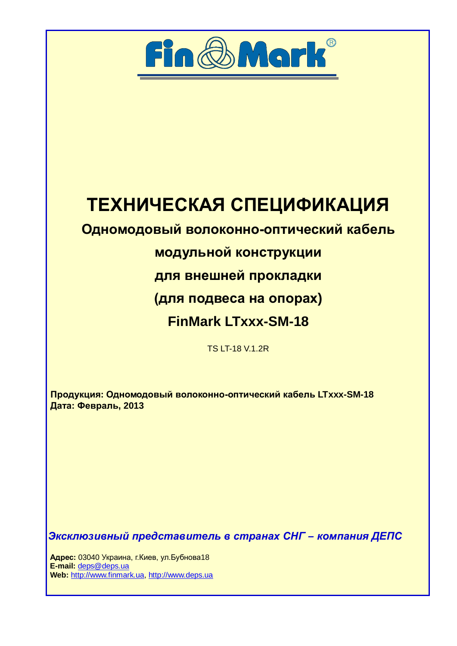

# ТЕХНИЧЕСКАЯ СПЕЦИФИКАЦИЯ

# **Одномодовый волоконно-оптический кабель**

# **МОДУЛЬНОЙ КОНСТРУКЦИИ**

для внешней прокладки

**(для подвеса на опорах)** 

# **FinMark LTxxx-SM-18**

TS LT-18 V.1.2R

Продукция: Одномодовый волоконно-оптический кабель LTxxx-SM-18 **Дата: Февраль, 2013** 

Эксклюзивный представитель в странах СНГ – компания ДЕПС

**Адрес:** 03040 Украина, г. Киев, ул. Бубнова 18  **E-mail:** [deps@deps.ua](mailto:deps@deps.ua) **Web:** [http://www.finmark.ua](http://www.finmark.ua/), http:/[/www.deps.ua](http://www.deps.ua/)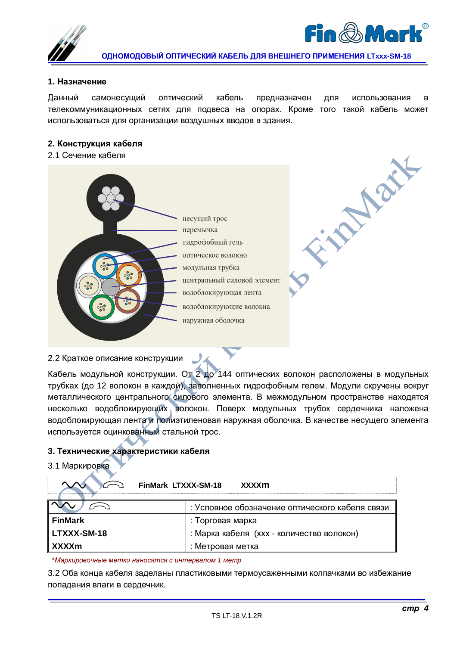



**PARTIES** 

**ɈȾɇɈɆɈȾɈȼɕɃɈɉɌɂɑȿɋɄɂɃɄȺȻȿɅɖȾɅəȼɇȿɒɇȿȽɈɉɊɂɆȿɇȿɇɂə LTxxx-SM-18** 

#### **1. Назначение**

Данный самонесущий оптический кабель предназначен для использования в телекоммуникационных сетях для подвеса на опорах. Кроме того такой кабель может использоваться для организации воздушных вводов в здания.

#### $2.$  Конструкция кабеля

2.1 Сечение кабеля



2.2 Краткое описание конструкции

Кабель модульной конструкции. От 2 до 144 оптических волокон расположены в модульных трубках (до 12 волокон в каждой), заполненных гидрофобным гелем. Модули скручены вокруг металлического центрального силового элемента. В межмодульном пространстве находятся несколько водоблокирующих волокон. Поверх модульных трубок сердечника наложена водоблокирующая лента и полиэтиленовая наружная оболочка. В качестве несущего элемента используется оцинкованный стальной трос.

## 3. Технические характеристики кабеля

#### 3.1 Маркировка

| <b>FinMark LTXXX-SM-18</b> | xxxxm                                           |  |  |  |
|----------------------------|-------------------------------------------------|--|--|--|
|                            | : Условное обозначение оптического кабеля связи |  |  |  |
| <b>FinMark</b>             | : Торговая марка                                |  |  |  |
| <b>LTXXX-SM-18</b>         | : Марка кабеля (xxx - количество волокон)       |  |  |  |
| <b>XXXXm</b>               | : Метровая метка                                |  |  |  |

<sup>\*</sup>Маркировочные метки наносятся с интервалом 1 метр

3.2 Оба конца кабеля заделаны пластиковыми термоусаженными колпачками во избежание попадания влаги в сердечник.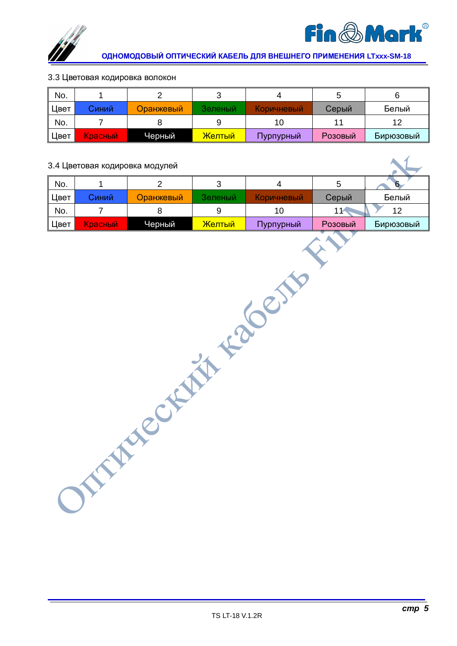



### 3.3 Цветовая кодировка волокон

| No.  |         |           |         |            |         |           |
|------|---------|-----------|---------|------------|---------|-----------|
| Цвет | Синий   | Оранжевый | Зеленый | Коричневый | Серый   | Белый     |
| No.  |         |           |         |            |         |           |
| Цвет | Красный | Черный    | Желтый  | Пурпурный  | Розовый | Бирюзовый |

# 3.4 Цветовая кодировка модулей

| No.  |         |           |         |                    |         | 6         |
|------|---------|-----------|---------|--------------------|---------|-----------|
| Цвет | Синий   | Оранжевый | Зеленый | <u>Коричневый:</u> | Серый   | Белый     |
| No.  |         |           |         |                    |         | 12        |
| Цвет | Красный | Черный    | Желтый  | Пурпурный          | Розовый | Бирюзовый |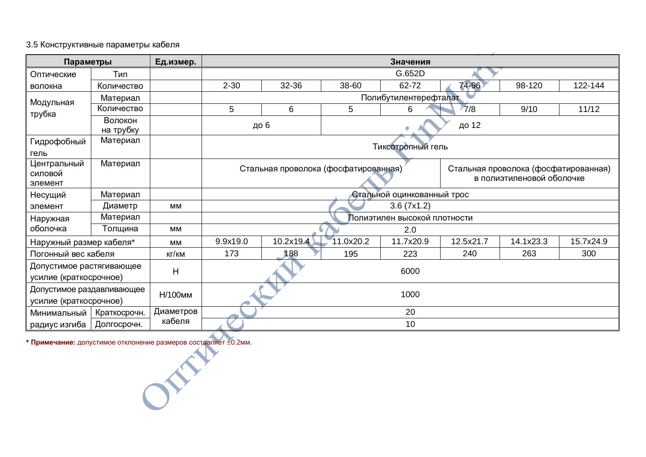# 3.5 Конструктивные параметры кабеля

| Параметры                 |                      | Ед.измер.<br>Значения |                                                                              |                       |           |                              |           |           |           |
|---------------------------|----------------------|-----------------------|------------------------------------------------------------------------------|-----------------------|-----------|------------------------------|-----------|-----------|-----------|
| Оптические                | Тип                  |                       |                                                                              |                       |           | G.652D                       |           |           |           |
| волокна                   | Количество           |                       | $2 - 30$                                                                     | 32-36                 | 38-60     | 62-72                        | 74-96     | 98-120    | 122-144   |
| Модульная                 | Материал             |                       |                                                                              | Полибутилентерефталат |           |                              |           |           |           |
| трубка                    | Количество           |                       | 5                                                                            | 6                     | 5         | 6                            | 7/8       | 9/10      | 11/12     |
|                           | Волокон<br>на трубку |                       |                                                                              | до 6                  |           |                              | до 12     |           |           |
| Гидрофобный               | Материал             |                       |                                                                              |                       |           |                              |           |           |           |
| гель                      |                      |                       |                                                                              |                       |           | Тиксотропный гель            |           |           |           |
| Центральный               | Материал             |                       | Стальная проволока (фосфатированная)<br>Стальная проволока (фосфатированная) |                       |           |                              |           |           |           |
| силовой                   |                      |                       | в полиэтиленовой оболочке                                                    |                       |           |                              |           |           |           |
| элемент                   |                      |                       |                                                                              |                       |           |                              |           |           |           |
| Несущий                   | Материал             |                       | Стальной оцинкованный трос                                                   |                       |           |                              |           |           |           |
| элемент                   | Диаметр              | MМ                    | 3.6(7x1.2)                                                                   |                       |           |                              |           |           |           |
| Наружная                  | Материал             |                       |                                                                              |                       |           | Полиэтилен высокой плотности |           |           |           |
| оболочка                  | Толщина              | <b>MM</b>             |                                                                              |                       |           | 2.0                          |           |           |           |
| Наружный размер кабеля*   |                      | MМ                    | 9.9x19.0                                                                     | 10.2x19.4             | 11.0x20.2 | 11.7x20.9                    | 12.5x21.7 | 14.1x23.3 | 15.7x24.9 |
| Погонный вес кабеля       |                      | кг/км                 | 173                                                                          | 188                   | 195       | 223                          | 240       | 263       | 300       |
| Допустимое растягивающее  |                      |                       |                                                                              |                       |           |                              |           |           |           |
| усилие (краткосрочное)    |                      | H                     | 6000                                                                         |                       |           |                              |           |           |           |
| Допустимое раздавливающее |                      | Н/100мм               |                                                                              |                       |           | 1000                         |           |           |           |
| усилие (краткосрочное)    |                      |                       |                                                                              |                       |           |                              |           |           |           |
| Минимальный               | Краткосрочн.         | Диаметров             | 20                                                                           |                       |           |                              |           |           |           |
| радиус изгиба             | Долгосрочн.          | кабеля                |                                                                              |                       |           | 10                           |           |           |           |

**\* Примечание:** допустимое отклонение размеров составляет ±0.2мм.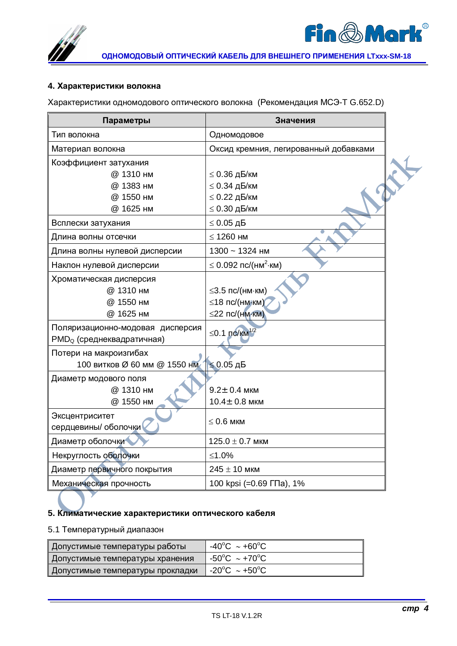

## **4. Характеристики волокна**

Характеристики одномодового оптического волокна (Рекомендация МСЭ-Т G.652.D)

| Параметры                              | Значения                              |  |
|----------------------------------------|---------------------------------------|--|
| Тип волокна                            | Одномодовое                           |  |
| Материал волокна                       | Оксид кремния, легированный добавками |  |
| Коэффициент затухания                  |                                       |  |
| @ 1310 нм                              | $\leq$ 0.36 дБ/км                     |  |
| @ 1383 нм                              | $\leq$ 0.34 дБ/км                     |  |
| @ 1550 нм                              | $\leq$ 0.22 дБ/км                     |  |
| @ 1625 нм                              | $\leq$ 0.30 дБ/км                     |  |
| Всплески затухания                     | $\leq 0.05$ дБ                        |  |
| Длина волны отсечки                    | $\leq$ 1260 HM                        |  |
| Длина волны нулевой дисперсии          | 1300 ~ 1324 нм                        |  |
| Наклон нулевой дисперсии               | $\leq$ 0.092 пс/(нм <sup>2</sup> ·км) |  |
| Хроматическая дисперсия                |                                       |  |
| @ 1310 нм                              | $\leq$ 3.5 пс/(нм $\cdot$ км)         |  |
| @ 1550 нм                              | ≤18 пс/(нм км)                        |  |
| @ 1625 нм                              | $\leq$ 22 nc/(HM·KM)                  |  |
| Поляризационно-модовая дисперсия       | $\leq$ 0.1 nc/km <sup>1/2</sup>       |  |
| PMD <sub>Q</sub> (среднеквадратичная)  |                                       |  |
| Потери на макроизгибах                 |                                       |  |
| 100 витков Ø 60 мм @ 1550 нм 1≤0.05 дБ |                                       |  |
| Диаметр модового поля                  |                                       |  |
| @ 1310 нм                              | $9.2 \pm 0.4$ мкм                     |  |
| @ 1550 нм                              | $10.4 \pm 0.8$ мкм                    |  |
| Эксцентриситет                         |                                       |  |
| сердцевины/ оболочки                   | $\leq 0.6$ мкм                        |  |
| Диаметр оболочки                       | $125.0 \pm 0.7$ мкм                   |  |
| Некруглость оболочки                   | ≤1.0%                                 |  |
| Диаметр первичного покрытия            | $245 \pm 10$ мкм                      |  |
| Механическая прочность                 | 100 kpsi (=0.69 ГПа), 1%              |  |

## 5. Климатические характеристики оптического кабеля

# 5.1 Температурный диапазон

| " Допустимые температуры работы <sup>"</sup> | $-40^{\circ}$ C ~ +60 $^{\circ}$ C      |
|----------------------------------------------|-----------------------------------------|
| ∥ Допустимые температуры хранения ∣          | 』-50°C ~+70°C                           |
| Допустимые температуры прокладки             | $-20^{\circ}$ C $\sim$ +50 $^{\circ}$ C |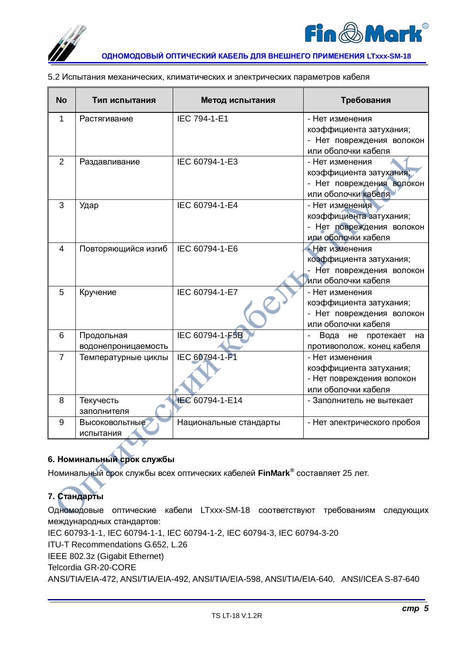



| 5.2 Испытания механических, климатических и электрических параметров кабеля |  |
|-----------------------------------------------------------------------------|--|
|                                                                             |  |

| <b>No</b>      | Тип испытания       | Метод испытания        | Требования                                                |
|----------------|---------------------|------------------------|-----------------------------------------------------------|
| 1              | Растягивание        | IEC 794-1-E1           | - Нет изменения                                           |
|                |                     |                        | коэффициента затухания;                                   |
|                |                     |                        | - Нет повреждения волокон                                 |
|                |                     |                        | или оболочки кабеля                                       |
| $\overline{2}$ | Раздавливание       | IEC 60794-1-E3         | - Нет изменения                                           |
|                |                     |                        | коэффициента затухания;                                   |
|                |                     |                        | - Нет повреждения волокон                                 |
|                |                     |                        | или оболочки кабеля                                       |
| 3              | Удар                | IEC 60794-1-E4         | - Нет изменения                                           |
|                |                     |                        | коэффициента затухания;                                   |
|                |                     |                        | - Нет повреждения волокон                                 |
|                |                     |                        | или оболочки кабеля                                       |
| 4              | Повторяющийся изгиб | IEC 60794-1-E6         | - Нет изменения                                           |
|                |                     |                        | коэффициента затухания;                                   |
|                |                     |                        | Нет повреждения волокон                                   |
|                |                     |                        | или оболочки кабеля                                       |
| 5              | Кручение            | IEC 60794-1-E7         | - Нет изменения                                           |
|                |                     |                        | коэффициента затухания;                                   |
|                |                     |                        | - Нет повреждения волокон                                 |
|                |                     |                        | или оболочки кабеля                                       |
| 6              | Продольная          | IEC 60794-1-F5B        | Вода<br>протекает<br>He<br>$\overline{\phantom{a}}$<br>на |
|                | водонепроницаемость |                        | противополож. конец кабеля                                |
| $\overline{7}$ | Температурные циклы | IEC 60794-1-F1         | - Нет изменения                                           |
|                |                     |                        | коэффициента затухания;                                   |
|                |                     |                        | - Нет повреждения волокон                                 |
|                |                     |                        | или оболочки кабеля                                       |
| 8              | Текучесть           | IEC 60794-1-E14        | - Заполнитель не вытекает                                 |
|                | заполнителя         |                        |                                                           |
| 9              | Высоковольтные      | Национальные стандарты | - Нет электрического пробоя                               |
|                | испытания           |                        |                                                           |

# **6. Номинальный срок службы**

Номинальный срок службы всех оптических кабелей FinMark<sup>®</sup> составляет 25 лет.

# **7. Стандарты**

Одномодовые оптические кабели LTxxx-SM-18 соответствуют требованиям следующих международных стандартов:

IEC 60793-1-1, IEC 60794-1-1, IEC 60794-1-2, IEC 60794-3, IEC 60794-3-20

ITU-T Recommendations G.652, L.26

IEEE 802.3z (Gigabit Ethernet)

Telcordia GR-20-CORE

ANSI/TIA/EIA-472, ANSI/TIA/EIA-492, ANSI/TIA/EIA-598, ANSI/TIA/EIA-640, ANSI/ICEA S-87-640